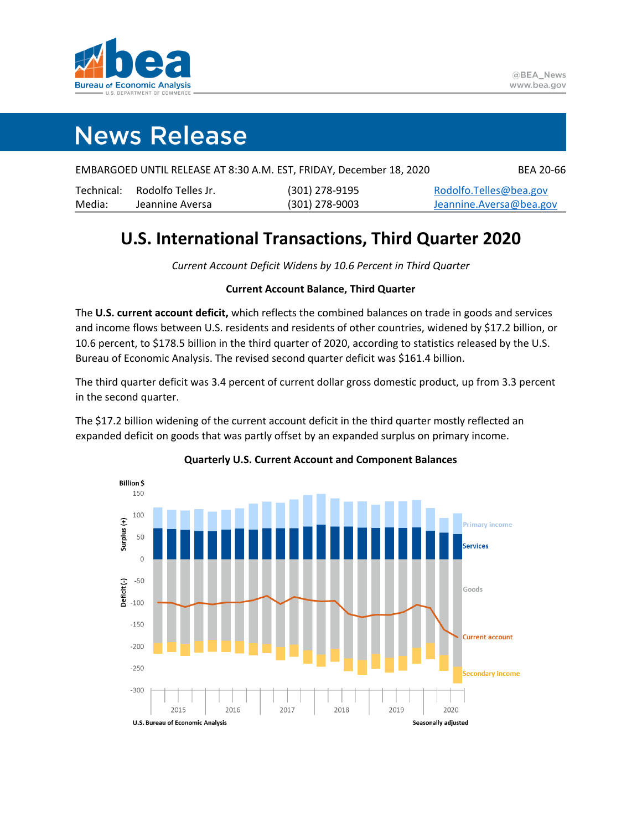

## **News Release**

| EMBARGOED UNTIL RELEASE AT 8:30 A.M. EST, FRIDAY, December 18, 2020 | <b>BEA 20-66</b> |
|---------------------------------------------------------------------|------------------|
|---------------------------------------------------------------------|------------------|

|        | Technical: Rodolfo Telles Jr. | (301) 278-9195   | Rodolfo.Telles@bea.gov   |
|--------|-------------------------------|------------------|--------------------------|
| Media: | Jeannine Aversa               | $(301)$ 278-9003 | Jeannine. Aversa@bea.gov |

## **U.S. International Transactions, Third Quarter 2020**

*Current Account Deficit Widens by 10.6 Percent in Third Quarter*

## **Current Account Balance, Third Quarter**

The **U.S. current account deficit,** which reflects the combined balances on trade in goods and services and income flows between U.S. residents and residents of other countries, widened by \$17.2 billion, or 10.6 percent, to \$178.5 billion in the third quarter of 2020, according to statistics released by the U.S. Bureau of Economic Analysis. The revised second quarter deficit was \$161.4 billion.

The third quarter deficit was 3.4 percent of current dollar gross domestic product, up from 3.3 percent in the second quarter.

The \$17.2 billion widening of the current account deficit in the third quarter mostly reflected an expanded deficit on goods that was partly offset by an expanded surplus on primary income.



## **Quarterly U.S. Current Account and Component Balances**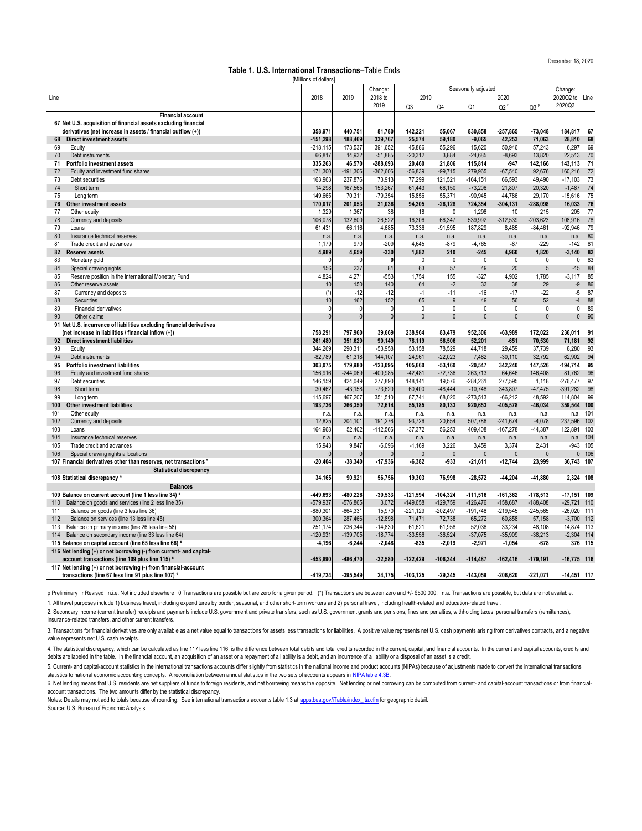December 18, 2020

Notes: Details may not add to totals because of rounding. See international transactions accounts table 1.3 at apps.bea.gov/iTable/index ita.cfm for geographic detail. [Source](https://apps.bea.gov/iTable/index_ita.cfm): U.S. Bureau of Economic Analysis

2. Secondary income (current transfer) receipts and payments include U.S. government and private transfers, such as U.S. government grants and pensions, fines and penalties, withholding taxes, personal transfers (remittanc insurance-related transfers, and other current transfers.

3. Transactions for financial derivatives are only available as a net value equal to transactions for assets less transactions for liabilities. A positive value represents net U.S. cash payments arising from derivatives co value represents net U.S. cash receipts.

4. The statistical discrepancy, which can be calculated as line 117 less line 116, is the difference between total debits and total credits recorded in the current, capital, and financial accounts. In the current and capit debits are labeled in the table. In the financial account, an acquisition of an asset or a repayment of a liability is a debit, and an incurrence of a liability or a disposal of an asset is a credit.

[5. Cur](https://apps.bea.gov/iTable/iTable.cfm?reqid=19&step=3&isuri=1&1921=survey&1903=136)rent- and capital-account statistics in the international transactions accounts differ slightly from statistics in the national income and product accounts (NIPAs) because of adjustments made to convert the internati [statistics to national economic accounting concepts. A reconciliation between annual statistics in the two sets of accounts appears in NIPA table 4.3B.](https://apps.bea.gov/iTable/iTable.cfm?reqid=19&step=3&isuri=1&1921=survey&1903=136)

6. Net lending means that U.S. residents are net suppliers of funds to foreign residents, and net borrowing means the opposite. Net lending or net borrowing can be computed from current- and capital-account transactions or account transactions. The two amounts differ by the statistical discrepancy.

|                 |                                                                              | [Millions of dollars] |                      |                      |                     |                     |                         |                    |                  |                          |          |
|-----------------|------------------------------------------------------------------------------|-----------------------|----------------------|----------------------|---------------------|---------------------|-------------------------|--------------------|------------------|--------------------------|----------|
|                 |                                                                              |                       |                      | Change:              | Seasonally adjusted |                     |                         |                    |                  | Change:                  |          |
| Line            |                                                                              | 2018                  | 2019                 | 2018 to              | 2019                |                     |                         | 2020               |                  | 2020Q2 to Line           |          |
|                 |                                                                              |                       |                      | 2019                 | Q3                  | Q4                  | Q1                      | $Q2^r$             | Q3 <sup>p</sup>  | 2020Q3                   |          |
|                 | <b>Financial account</b>                                                     |                       |                      |                      |                     |                     |                         |                    |                  |                          |          |
|                 | 67 Net U.S. acquisition of financial assets excluding financial              |                       |                      |                      |                     |                     |                         |                    |                  |                          |          |
|                 | derivatives (net increase in assets / financial outflow (+))                 | 358,971               | 440,751              | 81,780               | 142,221             | 55,067              | 830,858                 | $-257,865$         | $-73,048$        | 184,817                  | 67       |
| 68              | <b>Direct investment assets</b>                                              | $-151,298$            | 188,469              | 339,767              | 25,574              | 59,180              | $-9,065$                | 42,253             | 71,063           | 28,810                   | 68       |
| 69              | Equity                                                                       | $-218,115$            | 173,537              | 391,652              | 45,886              | 55,296              | 15,620                  | 50,946             | 57,243           | 6,297                    | 69       |
| 70              | Debt instruments                                                             | 66,817                | 14,932               | $-51,885$            | $-20,312$           | 3,884               | $-24,685$               | $-8,693$           | 13,820           | 22,513                   | 70       |
| 71              | <b>Portfolio investment assets</b>                                           | 335,263               | 46,570               | $-288,693$           | 20,460              | 21,806              | 115,814                 | $-947$             | 142,166          | 143,113                  | 71       |
| 72              | Equity and investment fund shares<br>Debt securities                         | 171,300               | $-191,306$           | $-362,606$           | $-56,839$           | $-99,715$           | 279,965                 | $-67,540$          | 92,676           | 160,216                  | 72<br>73 |
| 73<br>74        | Short term                                                                   | 163,963<br>14,298     | 237,876<br>167,565   | 73,913<br>153,267    | 77,299<br>61,443    | 121,521<br>66,150   | $-164, 151$             | 66,593<br>21,807   | 49,490<br>20,320 | $-17,103$<br>$-1,487$    | 74       |
| 75              | Long term                                                                    | 149,665               | 70,311               | $-79,354$            | 15,856              | 55,371              | $-73,206$<br>$-90,945$  | 44,786             | 29,170           | $-15,616$                | 75       |
| 76              | <b>Other investment assets</b>                                               | 170,017               | 201,053              | 31,036               | 94,305              | $-26,128$           | 724,354                 | $-304, 131$        | $-288,098$       | 16,033                   | 76       |
| 77              | Other equity                                                                 | 1,329                 | 1,367                | 38                   | 18                  |                     | 1,298                   | 10                 | 215              | 205                      | 77       |
| 78              | Currency and deposits                                                        | 106,078               | 132,600              | 26,522               | 16,306              | 66,347              | 539,992                 | $-312,539$         | $-203,623$       | 108,916                  | 78       |
| 79              | Loans                                                                        | 61,431                | 66,116               | 4,685                | 73,336              | $-91,595$           | 187,829                 | 8,485              | $-84,461$        | $-92,946$                | 79       |
| 80              | Insurance technical reserves                                                 | n.a.                  | n.a.                 | n.a.                 | n.a.                | n.a.                | n.a.                    | n.a.               | n.a.             | n.a.                     | 80       |
| 81              | Trade credit and advances                                                    | 1,179                 | 970                  | $-209$               | 4,645               | $-879$              | $-4,765$                | $-87$              | $-229$           | $-142$                   | 81       |
| 82              | <b>Reserve assets</b>                                                        | 4,989                 | 4,659                | $-330$               | 1,882               | 210                 | $-245$                  | 4,960              | 1,820            | $-3,140$                 | 82       |
| 83              | Monetary gold                                                                |                       |                      |                      |                     |                     |                         |                    |                  |                          | 83       |
| 84              | Special drawing rights                                                       | 156                   | 237                  | 81                   | 63                  | 57                  | 49                      | 20                 |                  | $-15$                    | 84       |
| 85              | Reserve position in the International Monetary Fund                          | 4,824                 | 4,271                | $-553$               | 1,754               | 155                 | $-327$                  | 4,902              | 1,785            | $-3,117$                 | 85       |
| 86              | Other reserve assets                                                         | 10                    | 150                  | 140                  | 64                  | $-2$                | 33                      | 38                 | 29               | $-9$                     | 86       |
| 87              | Currency and deposits                                                        | $(*)$                 | $-12$                | $-12$                | $-1$                | $-11$               | $-16$                   | $-17$              | $-22$            | -51                      | 87       |
| 88              | Securities                                                                   | 10                    | 162                  | 152                  | 65                  |                     | 49                      | 56                 | 52               |                          | 88       |
| 89              | <b>Financial derivatives</b>                                                 |                       |                      |                      |                     |                     |                         |                    | $\overline{0}$   |                          | 89       |
| 90              | Other claims                                                                 |                       |                      |                      |                     | 0                   |                         | $\overline{0}$     | $\overline{0}$   | $\overline{0}$           | 90       |
|                 | 91 Net U.S. incurrence of liabilities excluding financial derivatives        |                       |                      |                      |                     |                     |                         |                    |                  |                          |          |
|                 | (net increase in liabilities / financial inflow (+))                         | 758,291               | 797,960              | 39,669               | 238,964             | 83,479              | 952,306                 | $-63,989$          | 172,022          | 236,011                  | 91       |
| 92 <sub>l</sub> | <b>Direct investment liabilities</b>                                         | 261,480               | 351,629              | 90,149               | 78,119              | 56,506              | 52,201                  | $-651$             | 70,530           | 71,181                   | 92       |
| 93              | Equity                                                                       | 344,269               | 290,311              | $-53,958$            | 53,158              | 78,529              | 44,718                  | 29,459             | 37,739           | 8,280                    | 93       |
| 94              | Debt instruments                                                             | $-82,789$             | 61,318               | 144,107              | 24,961              | $-22,023$           | 7,482                   | $-30,110$          | 32,792           | 62,902                   | 94       |
| 95              | <b>Portfolio investment liabilities</b>                                      | 303,075               | 179,980              | $-123,095$           | 105,660             | $-53,160$           | $-20,547$               | 342,240            | 147,526          | $-194,714$               | 95       |
| 96<br>97        | Equity and investment fund shares<br>Debt securities                         | 156,916               | $-244,069$           | $-400,985$           | $-42,481$           | $-72,736$           | 263,713                 | 64,646             | 146,408<br>1,118 | 81,762                   | 96<br>97 |
| 98              | Short term                                                                   | 146,159<br>30,462     | 424,049<br>$-43,158$ | 277,890<br>$-73,620$ | 148,141<br>60,400   | 19,576<br>$-48,444$ | $-284,261$<br>$-10,748$ | 277,595<br>343,807 | $-47,475$        | $-276,477$<br>$-391,282$ | 98       |
| 99              | Long term                                                                    | 115,697               | 467,207              | 351,510              | 87,741              | 68,020              | $-273,513$              | $-66,212$          | 48,592           | 114,804                  | 99       |
| 100             | <b>Other investment liabilities</b>                                          | 193,736               | 266,350              | 72,614               | 55,185              | 80,133              | 920,653                 | $-405,578$         | $-46,034$        | 359,544                  | 100      |
| 101             | Other equity                                                                 | n.a.                  | n.a.                 | n.a.                 | n.a                 | n.a.                | n.a                     | n.a.               | n.a.             | n.a.                     | 101      |
| 102             | Currency and deposits                                                        | 12,825                | 204,101              | 191,276              | 93,726              | 20,654              | 507,786                 | $-241,674$         | $-4,078$         | 237,596 102              |          |
| 103             | Loans                                                                        | 164,968               | 52,402               | $-112,566$           | $-37,372$           | 56,253              | 409,408                 | $-167,278$         | $-44,387$        | 122,891                  | 103      |
| 104             | Insurance technical reserves                                                 | n.a.                  | n.a.                 | n.a.                 | n.a.                | n.a.                | n.a.                    | n.a.               | n.a.             | n.a.                     | 104      |
| 105             | Trade credit and advances                                                    | 15,943                | 9,847                | $-6,096$             | $-1,169$            | 3,226               | 3,459                   | 3,374              | 2,431            | $-943$ 105               |          |
| 106             | Special drawing rights allocations                                           |                       |                      |                      |                     |                     |                         |                    |                  |                          | 106      |
|                 | 107 Financial derivatives other than reserves, net transactions <sup>3</sup> | $-20,404$             | $-38,340$            | $-17,936$            | $-6,382$            | $-933$              | $-21,611$               | $-12,744$          | 23,999           | 36,743 107               |          |
|                 | <b>Statistical discrepancy</b>                                               |                       |                      |                      |                     |                     |                         |                    |                  |                          |          |
|                 | 108 Statistical discrepancy <sup>4</sup>                                     | 34,165                | 90,921               | 56,756               | 19,303              | 76,998              | $-28,572$               | $-44,204$          | $-41,880$        | 2,324 108                |          |
|                 | <b>Balances</b>                                                              |                       |                      |                      |                     |                     |                         |                    |                  |                          |          |
|                 | 109 Balance on current account (line 1 less line 34) 5                       | -449,693              | $-480,226$           | $-30,533$            | $-121,594$          | $-104,324$          | $-111,516$              | $-161,362$         | $-178,513$       | $-17,151$ 109            |          |
| 110             | Balance on goods and services (line 2 less line 35)                          | $-579,937$            | $-576,865$           | 3,072                | $-149,658$          | $-129,759$          | $-126,476$              | $-158,687$         | $-188,408$       | $-29,721$ 110            |          |
| 111             | Balance on goods (line 3 less line 36)                                       | $-880,301$            | $-864,331$           | 15,970               | $-221,129$          | $-202,497$          | $-191,748$              | $-219,545$         | $-245,565$       | $-26,020$ 111            |          |
| 112             | Balance on services (line 13 less line 45)                                   | 300,364               | 287,466              | $-12,898$            | 71,471              | 72,738              | 65,272                  | 60,858             | 57,158           | $-3,700$ 112             |          |
| 113             | Balance on primary income (line 26 less line 58)                             | 251,174               | 236,344              | $-14,830$            | 61,621              | 61,958              | 52,036                  | 33,234             | 48,108           | 14,874 113               |          |
| 114             | Balance on secondary income (line 33 less line 64)                           | $-120,931$            | $-139,705$           | $-18,774$            | $-33,556$           | $-36,524$           | $-37,075$               | $-35,909$          | $-38,213$        | $-2,304$ 114             |          |
|                 | 115 Balance on capital account (line 65 less line 66) 5                      | $-4,196$              | $-6,244$             | $-2,048$             | $-835$              | $-2,019$            | $-2,971$                | $-1,054$           | $-678$           |                          | 376 115  |
|                 | 116 Net lending (+) or net borrowing (-) from current- and capital-          |                       |                      |                      |                     |                     |                         |                    |                  |                          |          |
|                 | account transactions (line 109 plus line 115) <sup>6</sup>                   | $-453,890$            | $-486,470$           | $-32,580$            | $-122,429$          | $-106,344$          | $-114,487$              | $-162,416$         | $-179,191$       | $-16,775$ 116            |          |
|                 | 117 Net lending (+) or net borrowing (-) from financial-account              |                       |                      |                      |                     |                     |                         |                    |                  |                          |          |
|                 | transactions (line 67 less line 91 plus line 107) <sup>6</sup>               | $-419,724$            | $-395,549$           | 24,175               | $-103, 125$         | $-29,345$           | $-143,059$              | $-206,620$         | $-221,071$       | $-14,451$ 117            |          |

p Preliminary r Revised n.i.e. Not included elsewhere 0 Transactions are possible but are zero for a given period. (\*) Transactions are between zero and +/- \$500,000. n.a. Transactions are possible, but data are not availa

1. All travel purposes include 1) business travel, including expenditures by border, seasonal, and other short-term workers and 2) personal travel, including health-related and education-related travel.

**Table 1. U.S. International Transactions**–Table Ends